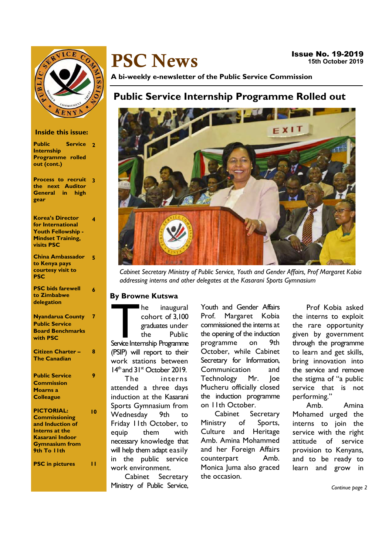

# PSC News

A bi-weekly e-newsletter of the Public Service Commission

# Public Service Internship Programme Rolled out



Cabinet Secretary Ministry of Public Service, Youth and Gender Affairs, Prof Margaret Kobia addressing interns and other delegates at the Kasarani Sports Gymnasium

#### By Browne Kutswa

The inaugural<br>
cohort of 3,100<br>
graduates under<br>
the Public<br>
Service Internship Programme cohort of 3,100 graduates under the Public (PSIP) will report to their work stations between  $14<sup>th</sup>$  and  $31<sup>st</sup>$  October 2019.

The interns attended a three days induction at the Kasarani Sports Gymnasium from Wednesday 9th to Friday 11th October, to equip them with necessary knowledge that will help them adapt easily in the public service work environment.

Cabinet Secretary Ministry of Public Service,

Youth and Gender Affairs Prof. Margaret Kobia commissioned the interns at the opening of the induction programme on 9th October, while Cabinet Secretary for Information, Communication and Technology Mr. Joe Mucheru officially closed the induction programme on 11th October.

Cabinet Secretary Ministry of Sports, Culture and Heritage Amb. Amina Mohammed and her Foreign Affairs counterpart Amb. Monica Juma also graced the occasion.

Prof Kobia asked the interns to exploit the rare opportunity given by government through the programme to learn and get skills, bring innovation into the service and remove the stigma of "a public service that is not performing."

Amb. Amina Mohamed urged the interns to join the service with the right attitude of service provision to Kenyans, and to be ready to learn and grow in

Continue page 2

#### Inside this issue:

- Public Service 2 Internship Programme rolled out (cont.)
- Process to recruit 3 the next Auditor General in high gear

Korea's Director for International Youth Fellowship - Mindset Training, visits PSC

4

6

7

8

9

10

China Ambassador to Kenya pays courtesy visit to **PSC** 5

| <b>PSC</b> bids farewell |  |
|--------------------------|--|
| to Zimbabwe              |  |
| delegation               |  |
|                          |  |

| <b>Nyandarua County</b> |
|-------------------------|
| <b>Public Service</b>   |
| <b>Board Benchmarks</b> |
| with PSC                |
| Citizen Charter -       |
| <b>The Canadian</b>     |
|                         |

| <b>Public Service</b> |  |
|-----------------------|--|
| <b>Commission</b>     |  |
| <b>Moarns a</b>       |  |
| <b>Colleague</b>      |  |

PICTORIAL: **Commissioning** and Induction of Interns at the Kasarani Indoor Gymnasium from 9th To 11th

PSC in pictures 11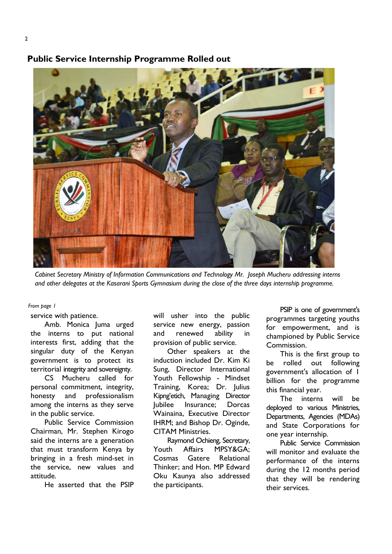### Public Service Internship Programme Rolled out



Cabinet Secretary Ministry of Information Communications and Technology Mr. Joseph Mucheru addressing interns and other delegates at the Kasarani Sports Gymnasium during the close of the three days internship programme.

From page 1

service with patience.

Amb. Monica Juma urged the interns to put national interests first, adding that the singular duty of the Kenyan government is to protect its territorial integrity and sovereignty.

CS Mucheru called for personal commitment, integrity, honesty and professionalism among the interns as they serve in the public service.

Public Service Commission Chairman, Mr. Stephen Kirogo said the interns are a generation that must transform Kenya by bringing in a fresh mind-set in the service, new values and attitude.

He asserted that the PSIP

will usher into the public service new energy, passion and renewed ability in provision of public service.

Other speakers at the induction included Dr. Kim Ki Sung, Director International Youth Fellowship - Mindset Training, Korea; Dr. Julius Kipng'etich, Managing Director Jubilee Insurance; Dorcas Wainaina, Executive Director IHRM; and Bishop Dr. Oginde, CITAM Ministries.

Raymond Ochieng, Secretary, Youth Affairs MPSY&GA; Cosmas Gatere Relational Thinker; and Hon. MP Edward Oku Kaunya also addressed the participants.

PSIP is one of government's programmes targeting youths for empowerment, and is championed by Public Service Commission.

This is the first group to be rolled out following government's allocation of 1 billion for the programme this financial year.

The interns will be deployed to various Ministries, Departments, Agencies (MDAs) and State Corporations for one year internship.

Public Service Commission will monitor and evaluate the performance of the interns during the 12 months period that they will be rendering their services.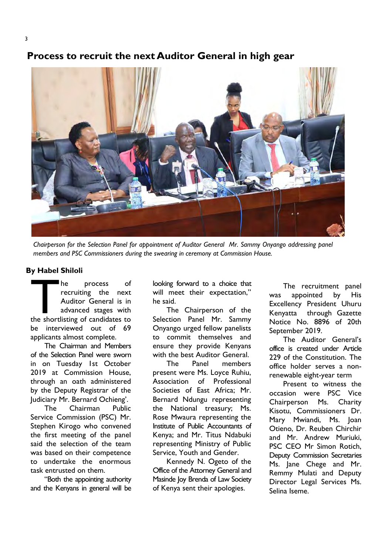# Process to recruit the next Auditor General in high gear



Chairperson for the Selection Panel for appointment of Auditor General Mr. Sammy Onyango addressing panel members and PSC Commissioners during the swearing in ceremony at Commission House.

#### By Habel Shiloli

The process of recruiting the next Auditor General is in advanced stages with the shortlisting of candidates to recruiting the next Auditor General is in advanced stages with be interviewed out of 69 applicants almost complete.

The Chairman and Members of the Selection Panel were sworn in on Tuesday 1st October 2019 at Commission House, through an oath administered by the Deputy Registrar of the Judiciary Mr. Bernard Ochieng'.

The Chairman Public Service Commission (PSC) Mr. Stephen Kirogo who convened the first meeting of the panel said the selection of the team was based on their competence to undertake the enormous task entrusted on them.

"Both the appointing authority and the Kenyans in general will be

looking forward to a choice that will meet their expectation," he said.

The Chairperson of the Selection Panel Mr. Sammy Onyango urged fellow panelists to commit themselves and ensure they provide Kenyans with the best Auditor General.

The Panel members present were Ms. Loyce Ruhiu, Association of Professional Societies of East Africa; Mr. Bernard Ndungu representing the National treasury; Ms. Rose Mwaura representing the Institute of Public Accountants of Kenya; and Mr. Titus Ndabuki representing Ministry of Public Service, Youth and Gender.

Kennedy N. Ogeto of the Office of the Attorney General and Masinde Joy Brenda of Law Society of Kenya sent their apologies.

The recruitment panel was appointed by His Excellency President Uhuru Kenyatta through Gazette Notice No. 8896 of 20th September 2019.

The Auditor General's office is created under Article 229 of the Constitution. The office holder serves a nonrenewable eight-year term

Present to witness the occasion were PSC Vice Chairperson Ms. Charity Kisotu, Commissioners Dr. Mary Mwiandi, Ms. Joan Otieno, Dr. Reuben Chirchir and Mr. Andrew Muriuki, PSC CEO Mr Simon Rotich, Deputy Commission Secretaries Ms. Jane Chege and Mr. Remmy Mulati and Deputy Director Legal Services Ms. Selina Iseme.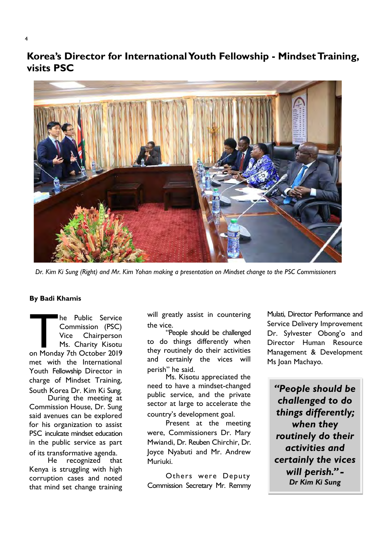Korea's Director for International Youth Fellowship - Mindset Training, visits PSC



Dr. Kim Ki Sung (Right) and Mr. Kim Yohan making a presentation on Mindset change to the PSC Commissioners

#### By Badi Khamis

The Public Service<br>
Commission (PSC)<br>
Vice Chairperson<br>
Ms. Charity Kisotu<br>
on Monday 7th October 2019 Commission (PSC) Vice Chairperson Ms. Charity Kisotu met with the International Youth Fellowship Director in charge of Mindset Training, South Korea Dr. Kim Ki Sung.

During the meeting at Commission House, Dr. Sung said avenues can be explored for his organization to assist PSC inculcate mindset education in the public service as part of its transformative agenda.<br>He recognized that

He recognized Kenya is struggling with high corruption cases and noted that mind set change training

will greatly assist in countering the vice.

"People should be challenged to do things differently when they routinely do their activities and certainly the vices will perish" he said.

Ms. Kisotu appreciated the need to have a mindset-changed public service, and the private sector at large to accelerate the country's development goal.

Present at the meeting were, Commissioners Dr. Mary Mwiandi, Dr. Reuben Chirchir, Dr. Joyce Nyabuti and Mr. Andrew Muriuki.

Others were Deputy Commission Secretary Mr. Remmy Mulati, Director Performance and Service Delivery Improvement Dr. Sylvester Obong'o and Director Human Resource Management & Development Ms Joan Machayo.

"People should be challenged to do things differently; when they routinely do their activities and certainly the vices will perish." -Dr Kim Ki Sung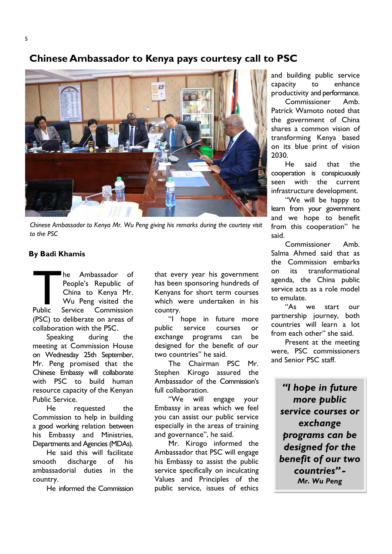## Chinese Ambassador to Kenya pays courtesy call to PSC



Chinese Ambassador to Kenya Mr. Wu Peng giving his remarks during the courtesy visit to the PSC

#### By Badi Khamis

Public Service he Ambassador of People's Republic of China to Kenya Mr. Wu Peng visited the Commission (PSC) to deliberate on areas of collaboration with the PSC.

Speaking during the meeting at Commission House on Wednesday 25th September, Mr. Peng promised that the Chinese Embassy will collaborate with PSC to build human resource capacity of the Kenyan Public Service.

He requested the Commission to help in building a good working relation between his Embassy and Ministries, Departments and Agencies (MDAs).

He said this will facilitate smooth discharge of his ambassadorial duties in the country.

He informed the Commission

that every year his government has been sponsoring hundreds of Kenyans for short term courses which were undertaken in his country.

"I hope in future more public service courses or exchange programs can be designed for the benefit of our two countries" he said.

The Chairman PSC Mr. Stephen Kirogo assured the Ambassador of the Commission's full collaboration.

"We will engage your Embassy in areas which we feel you can assist our public service especially in the areas of training and governance", he said.

Mr. Kirogo informed the Ambassador that PSC will engage his Embassy to assist the public service specifically on inculcating Values and Principles of the public service, issues of ethics

and building public service capacity to enhance productivity and performance.

Commissioner Amb. Patrick Wamoto noted that the government of China shares a common vision of transforming Kenya based on its blue print of vision 2030.

He said that the cooperation is conspicuously seen with the current infrastructure development.

"We will be happy to learn from your government and we hope to benefit from this cooperation" he said.

Commissioner Amb. Salma Ahmed said that as the Commission embarks on its transformational agenda, the China public service acts as a role model to emulate.

"As we start our partnership journey, both countries will learn a lot from each other" she said.

Present at the meeting were, PSC commissioners and Senior PSC staff.

"I hope in future more public service courses or exchange programs can be designed for the benefit of our two countries" - Mr. Wu Peng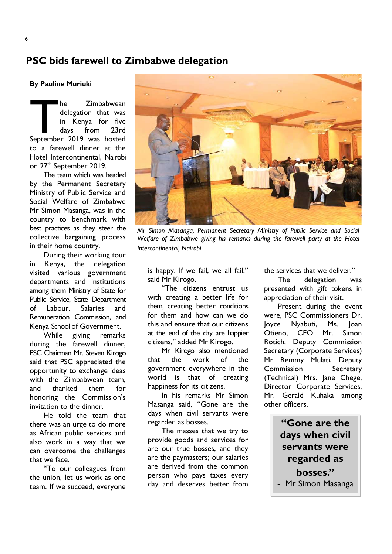## PSC bids farewell to Zimbabwe delegation

By Pauline Muriuki

The Zimbabwean<br>
delegation that was<br>
in Kenya for five<br>
days from 23rd<br>
September 2019 was hosted delegation that was in Kenya for five days from 23rd to a farewell dinner at the Hotel Intercontinental, Nairobi on 27th September 2019.

The team which was headed by the Permanent Secretary Ministry of Public Service and Social Welfare of Zimbabwe Mr Simon Masanga, was in the country to benchmark with best practices as they steer the collective bargaining process in their home country.

During their working tour in Kenya, the delegation visited various government departments and institutions among them Ministry of State for Public Service, State Department of Labour, Salaries and Remuneration Commission, and Kenya School of Government.

While giving remarks during the farewell dinner, PSC Chairman Mr. Steven Kirogo said that PSC appreciated the opportunity to exchange ideas with the Zimbabwean team, and thanked them for honoring the Commission's invitation to the dinner.

He told the team that there was an urge to do more as African public services and also work in a way that we can overcome the challenges that we face.

"To our colleagues from the union, let us work as one team. If we succeed, everyone



Mr Simon Masanga, Permanent Secretary Ministry of Public Service and Social Welfare of Zimbabwe giving his remarks during the farewell party at the Hotel Intercontinental, Nairobi

is happy. If we fail, we all fail," said Mr Kirogo.

"The citizens entrust us with creating a better life for them, creating better conditions for them and how can we do this and ensure that our citizens at the end of the day are happier citizens," added Mr Kirogo.

Mr Kirogo also mentioned that the work of the government everywhere in the world is that of creating happiness for its citizens.

In his remarks Mr Simon Masanga said, "Gone are the days when civil servants were regarded as bosses.

The masses that we try to provide goods and services for are our true bosses, and they are the paymasters; our salaries are derived from the common person who pays taxes every day and deserves better from

the services that we deliver."

The delegation was presented with gift tokens in appreciation of their visit.

Present during the event were, PSC Commissioners Dr. Joyce Nyabuti, Ms. Joan Otieno, CEO Mr. Simon Rotich, Deputy Commission Secretary (Corporate Services) Mr Remmy Mulati, Deputy Commission Secretary (Technical) Mrs. Jane Chege, Director Corporate Services, Mr. Gerald Kuhaka among other officers.

> "Gone are the days when civil servants were regarded as bosses."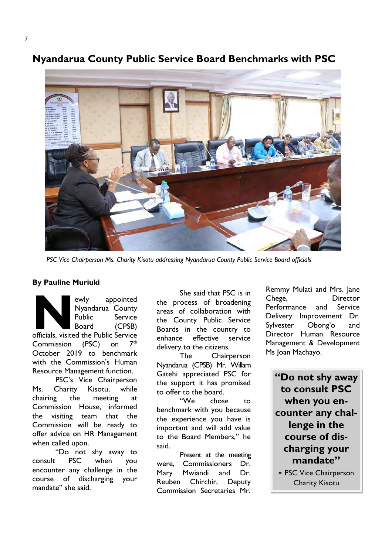# Nyandarua County Public Service Board Benchmarks with PSC



PSC Vice Chairperson Ms. Charity Kisotu addressing Nyandarua County Public Service Board officials

#### By Pauline Muriuki

ewly appointed<br>
Nyandarua County<br>
Public Service<br>
Board (CPSB)<br>
officials, visited the Public Service ewly appointed Nyandarua County Public Service Board (CPSB) Commission (PSC) on  $7<sup>th</sup>$ October 2019 to benchmark with the Commission's Human Resource Management function.

PSC's Vice Chairperson Ms. Charity Kisotu, while chairing the meeting at Commission House, informed the visiting team that the Commission will be ready to offer advice on HR Management when called upon.

"Do not shy away to consult PSC when you encounter any challenge in the course of discharging your mandate" she said.

She said that PSC is in the process of broadening areas of collaboration with the County Public Service Boards in the country to enhance effective service delivery to the citizens.

The Chairperson Nyandarua (CPSB) Mr. Willam Gatehi appreciated PSC for the support it has promised to offer to the board.

"We chose to benchmark with you because the experience you have is important and will add value to the Board Members," he said.

Present at the meeting were, Commissioners Dr. Mary Mwiandi and Dr. Reuben Chirchir, Deputy Commission Secretaries Mr.

Remmy Mulati and Mrs. Jane Chege, Director Performance and Service Delivery Improvement Dr. Sylvester Obong'o and Director Human Resource Management & Development Ms Joan Machayo.

"Do not shy away to consult PSC when you encounter any challenge in the course of discharging your mandate"

- PSC Vice Chairperson Charity Kisotu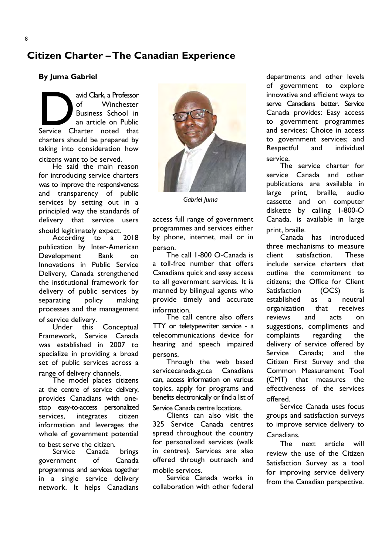# Citizen Charter – The Canadian Experience

#### By Juma Gabriel

avid Clark, a Professor<br>
of Minchester<br>
Business School in<br>
an article on Public<br>
Service Charter noted that of Winchester Business School in an article on Public charters should be prepared by taking into consideration how citizens want to be served.

He said the main reason for introducing service charters was to improve the responsiveness and transparency of public services by setting out in a principled way the standards of delivery that service users should legitimately expect.

According publication by Inter-American Development Bank on Innovations in Public Service Delivery, Canada strengthened the institutional framework for delivery of public services by separating policy making processes and the management of service delivery.

Under this Conceptual Framework, Service Canada was established in 2007 to specialize in providing a broad set of public services across a range of delivery channels.

The model places citizens at the centre of service delivery, provides Canadians with onestop easy-to-access personalized services, integrates citizen information and leverages the whole of government potential

to best serve the citizen.<br>Service Canada Canada brings government of Canada programmes and services together in a single service delivery network. It helps Canadians



Gabriel Juma

access full range of government programmes and services either by phone, internet, mail or in person.

The call 1-800 O-Canada is a toll-free number that offers Canadians quick and easy access to all government services. It is manned by bilingual agents who provide timely and accurate information.

The call centre also offers TTY or teletypewriter service - a telecommunications device for hearing and speech impaired persons.

Through the web based servicecanada.gc.ca Canadians can, access information on various topics, apply for programs and benefits electronically or find a list of Service Canada centre locations.

Clients can also visit the 325 Service Canada centres spread throughout the country for personalized services (walk in centres). Services are also offered through outreach and mobile services.

Service Canada works in collaboration with other federal

departments and other levels of government to explore innovative and efficient ways to serve Canadians better. Service Canada provides: Easy access to government programmes and services; Choice in access to government services; and Respectful and individual service.

The service charter for service Canada and other publications are available in large print, braille, audio cassette and on computer diskette by calling 1-800-O Canada. is available in large print, braille.

Canada has introduced three mechanisms to measure client satisfaction. These include service charters that outline the commitment to citizens; the Office for Client Satisfaction (OCS) is established as a neutral organization that receives reviews and acts on suggestions, compliments and complaints regarding the delivery of service offered by Service Canada; and the Citizen First Survey and the Common Measurement Tool (CMT) that measures the effectiveness of the services offered.

Service Canada uses focus groups and satisfaction surveys to improve service delivery to Canadians.

The next article will review the use of the Citizen Satisfaction Survey as a tool for improving service delivery from the Canadian perspective.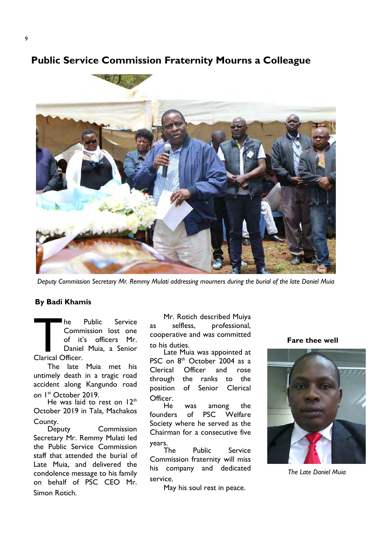## Public Service Commission Fraternity Mourns a Colleague



Deputy Commission Secretary Mr. Remmy Mulati addressing mourners during the burial of the late Daniel Muia

#### By Badi Khamis

The Public Service<br>
Commission lost one<br>
of it's officers Mr.<br>
Daniel Muia, a Senior<br>
Clarical Officer. Commission lost one of it's officers Mr. Daniel Muia, a Senior Clarical Officer.

The late Muia met his untimely death in a tragic road accident along Kangundo road on 1<sup>st</sup> October 2019.

He was laid to rest on 12<sup>th</sup> October 2019 in Tala, Machakos County.

Deputy Commission Secretary Mr. Remmy Mulati led the Public Service Commission staff that attended the burial of Late Muia, and delivered the condolence message to his family on behalf of PSC CEO Mr. Simon Rotich.

Mr. Rotich described Muiya as selfless, professional, cooperative and was committed to his duties.

Late Muia was appointed at PSC on 8<sup>th</sup> October 2004 as a Clerical Officer and rose through the ranks to the position of Senior Clerical Officer.<br>He

was among the founders of PSC Welfare Society where he served as the Chairman for a consecutive five

years.<br>The Public Service Commission fraternity will miss his company and dedicated service.

May his soul rest in peace.

Fare thee well



The Late Daniel Muia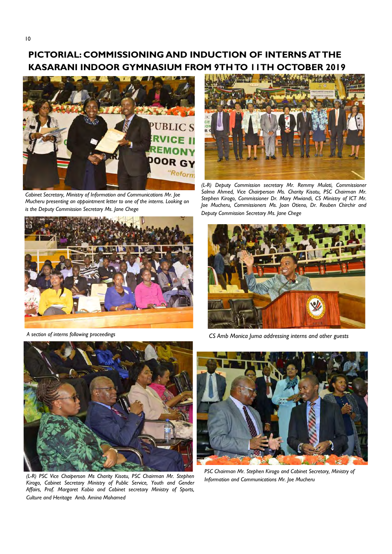## PICTORIAL: COMMISSIONING AND INDUCTION OF INTERNS AT THE KASARANI INDOOR GYMNASIUM FROM 9TH TO 11TH OCTOBER 2019



Cabinet Secretary, Ministry of Information and Communications Mr. Joe Mucheru presenting an appointment letter to one of the interns. Looking on is the Deputy Commission Secretary Ms. Jane Chege



A section of interns following proceedings



(L-R) PSC Vice Chaiperson Ms Charity Kisotu, PSC Chairman Mr. Stephen Kirogo, Cabinet Secretary Ministry of Public Service, Youth and Gender Affairs, Prof. Margaret Kobia and Cabinet secretary Ministry of Sports, Culture and Heritage Amb. Amina Mohamed



(L-R) Deputy Commission secretary Mr. Remmy Mulati, Commissioner Salma Ahmed, Vice Chairperson Ms. Charity Kisotu, PSC Chairman Mr. Stephen Kirogo, Commissioner Dr. Mary Mwiandi, CS Ministry of ICT Mr. Joe Mucheru, Commissioners Ms. Joan Otieno, Dr. Reuben Chirchir and Deputy Commission Secretary Ms. Jane Chege



CS Amb Monica Juma addressing interns and other guests



PSC Chairman Mr. Stephen Kirogo and Cabinet Secretary, Ministry of Information and Communications Mr. Joe Mucheru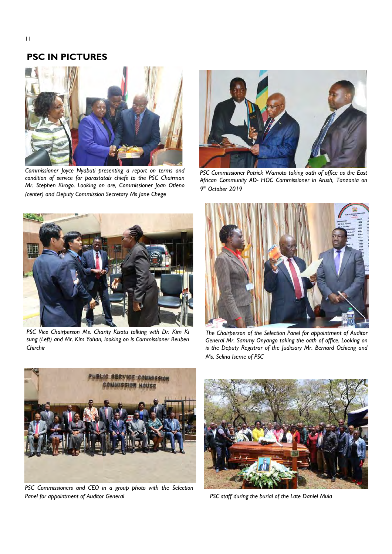## PSC IN PICTURES



Commissioner Joyce Nyabuti presenting a report on terms and condition of service for parastatals chiefs to the PSC Chairman Mr. Stephen Kirogo. Looking on are, Commissioner Joan Otieno (center) and Deputy Commission Secretary Ms Jane Chege



PSC Commissioner Patrick Wamoto taking oath of office as the East African Community AD- HOC Commissioner in Arush, Tanzania on 9<sup>th</sup> October 2019



PSC Vice Chairperson Ms. Charity Kisotu talking with Dr. Kim Ki sung (Left) and Mr. Kim Yohan, looking on is Commissioner Reuben Chirchir



The Chairperson of the Selection Panel for appointment of Auditor General Mr. Sammy Onyango taking the oath of office. Looking on is the Deputy Registrar of the Judiciary Mr. Bernard Ochieng and Ms. Selina Iseme of PSC



PSC Commissioners and CEO in a group photo with the Selection Panel for appointment of Auditor General



PSC staff during the burial of the Late Daniel Muia